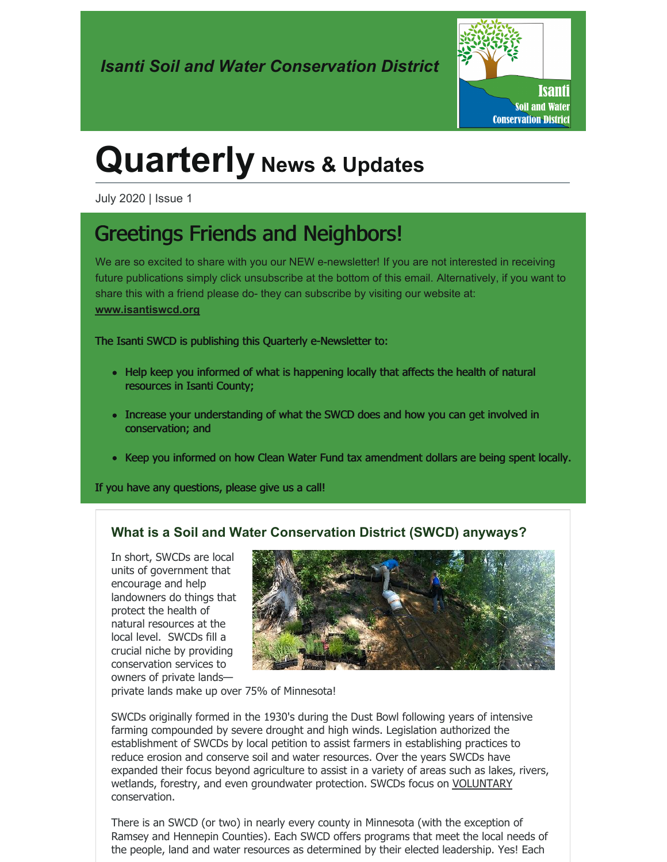

# **Quarterly News & Updates**

July 2020 | Issue 1

## Greetings Friends and Neighbors!

We are so excited to share with you our NEW e-newsletter! If you are not interested in receiving future publications simply click unsubscribe at the bottom of this email. Alternatively, if you want to share this with a friend please do- they can subscribe by visiting our website at: **[www.isantiswcd.org](http://www.isantiswcd.org)**

The Isanti SWCD is publishing this Quarterly e-Newsletter to:

- Help keep you informed of what is happening locally that affects the health of natural resources in Isanti County;
- Increase your understanding of what the SWCD does and how you can get involved in conservation; and
- Keep you informed on how Clean Water Fund tax amendment dollars are being spent locally.

If you have any questions, please give us a call!

#### **What is a Soil and Water Conservation District (SWCD) anyways?**

In short, SWCDs are local units of government that encourage and help landowners do things that protect the health of natural resources at the local level. SWCDs fill a crucial niche by providing conservation services to owners of private lands—



private lands make up over 75% of Minnesota!

SWCDs originally formed in the 1930's during the Dust Bowl following years of intensive farming compounded by severe drought and high winds. Legislation authorized the establishment of SWCDs by local petition to assist farmers in establishing practices to reduce erosion and conserve soil and water resources. Over the years SWCDs have expanded their focus beyond agriculture to assist in a variety of areas such as lakes, rivers, wetlands, forestry, and even groundwater protection. SWCDs focus on VOLUNTARY conservation.

There is an SWCD (or two) in nearly every county in Minnesota (with the exception of Ramsey and Hennepin Counties). Each SWCD offers programs that meet the local needs of the people, land and water resources as determined by their elected leadership. Yes! Each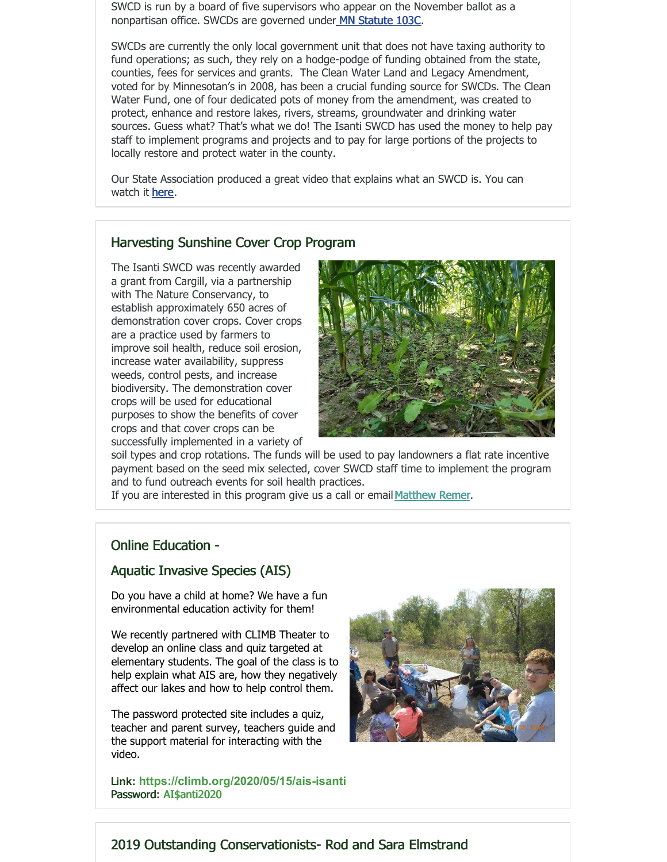SWCD is run by a board of five supervisors who appear on the November ballot as a nonpartisan office. SWCDs are governed unde[r](https://www.revisor.mn.gov/statutes/cite/103C) MN [Statute](https://www.revisor.mn.gov/statutes/cite/103C) 103C.

SWCDs are currently the only local government unit that does not have taxing authority to fund operations; as such, they rely on a hodge-podge of funding obtained from the state, counties, fees for services and grants. The Clean Water Land and Legacy Amendment, voted for by Minnesotan's in 2008, has been a crucial funding source for SWCDs. The Clean Water Fund, one of four dedicated pots of money from the amendment, was created to protect, enhance and restore lakes, rivers, streams, groundwater and drinking water sources. Guess what? That's what we do! The Isanti SWCD has used the money to help pay staff to implement programs and projects and to pay for large portions of the projects to locally restore and protect water in the county.

Our State Association produced a great video that explains what an SWCD is. You can watch it [here](https://www.youtube.com/watch?v=iwRfcPa4DG0).

#### Harvesting Sunshine Cover Crop Program

The Isanti SWCD was recently awarded a grant from Cargill, via a partnership with The Nature Conservancy, to establish approximately 650 acres of demonstration cover crops. Cover crops are a practice used by farmers to improve soil health, reduce soil erosion, increase water availability, suppress weeds, control pests, and increase biodiversity. The demonstration cover crops will be used for educational purposes to show the benefits of cover crops and that cover crops can be successfully implemented in a variety of



soil types and crop rotations. The funds will be used to pay landowners a flat rate incentive payment based on the seed mix selected, cover SWCD staff time to implement the program and to fund outreach events for soil health practices.

If you are interested in this program give us a call or email [Matthew](mailto:mremer@isantiswcd.org) Remer.

#### Online Education -

#### Aquatic Invasive Species (AIS)

Do you have a child at home? We have a fun environmental education activity for them!

We recently partnered with CLIMB Theater to develop an online class and quiz targeted at elementary students. The goal of the class is to help explain what AIS are, how they negatively affect our lakes and how to help control them.

The password protected site includes a quiz, teacher and parent survey, teachers guide and the support material for interacting with the video.

[L](https://climb.org/2020/05/15/ais-isanti)**ink: [https://climb.org/2020/05/15/ais-isanti](https://gcc02.safelinks.protection.outlook.com/?url=https%3A%2F%2Fnyl.as%2Ft1%2F4%2F83g8hvtq97rcdtkkau4sub3ie%2F0%2Fd324dea8717975425993c0d79fa669bc110661c1981fa8b1a6d73a01a470eb49&data=02%7C01%7C%7Cb639fc112cd1452b1e1b08d7fb2dd501%7Ced5b36e701ee4ebc867ee03cfa0d4697%7C0%7C0%7C637254046578063106&sdata=GNmslUAcf3JggSi9Sa7e8N7hvcMOEIg3%2FgCZBtoH65w%3D&reserved=0)** Password: AI\$anti2020



#### 2019 Outstanding Conservationists- Rod and Sara Elmstrand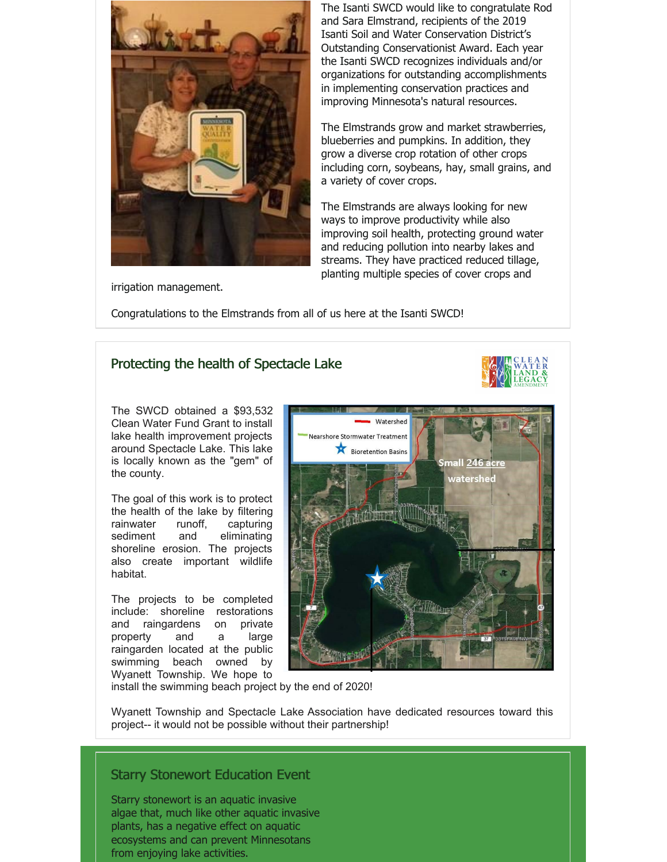

The Isanti SWCD would like to congratulate Rod and Sara Elmstrand, recipients of the 2019 Isanti Soil and Water Conservation District's Outstanding Conservationist Award. Each year the Isanti SWCD recognizes individuals and/or organizations for outstanding accomplishments in implementing conservation practices and improving Minnesota's natural resources.

The Elmstrands grow and market strawberries, blueberries and pumpkins. In addition, they grow a diverse crop rotation of other crops including corn, soybeans, hay, small grains, and a variety of cover crops.

The Elmstrands are always looking for new ways to improve productivity while also improving soil health, protecting ground water and reducing pollution into nearby lakes and streams. They have practiced reduced tillage, planting multiple species of cover crops and

irrigation management.

Congratulations to the Elmstrands from all of us here at the Isanti SWCD!

#### Protecting the health of Spectacle Lake

The SWCD obtained a \$93,532 Clean Water Fund Grant to install lake health improvement projects around Spectacle Lake. This lake is locally known as the "gem" of the county.

The goal of this work is to protect the health of the lake by filtering rainwater runoff, capturing sediment and eliminating shoreline erosion. The projects also create important wildlife habitat.

The projects to be completed include: shoreline restorations and raingardens on private property and a large raingarden located at the public swimming beach owned by Wyanett Township. We hope to



install the swimming beach project by the end of 2020!

Wyanett Township and Spectacle Lake Association have dedicated resources toward this project-- it would not be possible without their partnership!

#### Starry Stonewort Education Event

Starry stonewort is an aquatic invasive algae that, much like other aquatic invasive plants, has a negative effect on aquatic ecosystems and can prevent Minnesotans from enjoying lake activities.

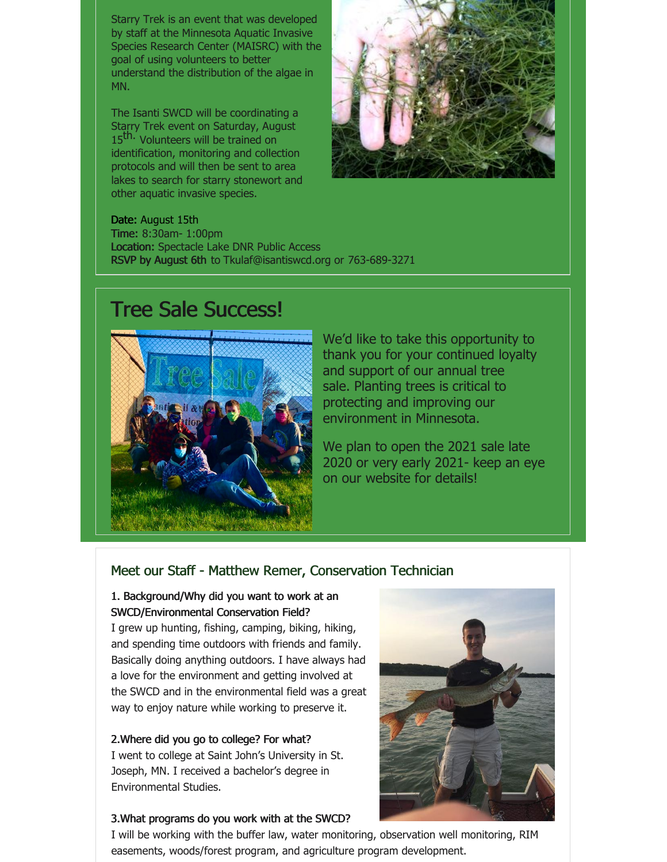Starry Trek is an event that was developed by staff at the Minnesota Aquatic Invasive Species Research Center (MAISRC) with the goal of using volunteers to better understand the distribution of the algae in MN.

The Isanti SWCD will be coordinating a Starry Trek event on Saturday, August 15<sup>th.</sup> Volunteers will be trained on identification, monitoring and collection protocols and will then be sent to area lakes to search for starry stonewort and other aquatic invasive species.



Date: August 15th Time: 8:30am- 1:00pm Location: Spectacle Lake DNR Public Access RSVP by August 6th to Tkulaf@isantiswcd.org or 763-689-3271

### Tree Sale Success!



We'd like to take this opportunity to thank you for your continued loyalty and support of our annual tree sale. Planting trees is critical to protecting and improving our environment in Minnesota.

We plan to open the 2021 sale late 2020 or very early 2021- keep an eye on our website for details!

#### Meet our Staff - Matthew Remer, Conservation Technician

#### 1. Background/Why did you want to work at an SWCD/Environmental Conservation Field?

I grew up hunting, fishing, camping, biking, hiking, and spending time outdoors with friends and family. Basically doing anything outdoors. I have always had a love for the environment and getting involved at the SWCD and in the environmental field was a great way to enjoy nature while working to preserve it.

#### 2.Where did you go to college? For what? I went to college at Saint John's University in St. Joseph, MN. I received a bachelor's degree in Environmental Studies.

#### 3.What programs do you work with at the SWCD?



I will be working with the buffer law, water monitoring, observation well monitoring, RIM easements, woods/forest program, and agriculture program development.